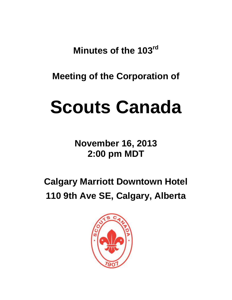**Minutes of the 103rd**

**Meeting of the Corporation of**

# **Scouts Canada**

**November 16, 2013 2:00 pm MDT**

**Calgary Marriott Downtown Hotel 110 9th Ave SE, Calgary, Alberta**

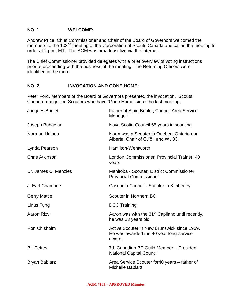## **NO. 1 WELCOME:**

Andrew Price, Chief Commissioner and Chair of the Board of Governors welcomed the members to the 103<sup>nd</sup> meeting of the Corporation of Scouts Canada and called the meeting to order at 2 p.m. MT. The AGM was broadcast live via the internet.

The Chief Commissioner provided delegates with a brief overview of voting instructions prior to proceeding with the business of the meeting. The Returning Officers were identified in the room.

# **NO. 2 INVOCATION AND GONE HOME:**

Peter Ford, Members of the Board of Governors presented the invocation. Scouts Canada recognized Scouters who have 'Gone Home' since the last meeting:

| Jacques Boulet        | Father of Alain Boulet, Council Area Service<br>Manager                                          |
|-----------------------|--------------------------------------------------------------------------------------------------|
| Joseph Buhagiar       | Nova Scotia Council 65 years in scouting                                                         |
| <b>Norman Haines</b>  | Norm was a Scouter in Quebec, Ontario and<br>Alberta, Chair of CJ'81 and WJ'83.                  |
| Lynda Pearson         | Hamilton-Wentworth                                                                               |
| <b>Chris Atkinson</b> | London Commissioner, Provincial Trainer, 40<br>years                                             |
| Dr. James C. Menzies  | Manitoba - Scouter, District Commissioner,<br><b>Provincial Commissioner</b>                     |
| J. Earl Chambers      | Cascadia Council - Scouter in Kimberley                                                          |
|                       |                                                                                                  |
| <b>Gerry Mattie</b>   | Scouter in Northern BC                                                                           |
| Linus Fung            | <b>DCC Training</b>                                                                              |
| Aaron Rizvi           | Aaron was with the 31 <sup>st</sup> Capilano until recently,<br>he was 23 years old.             |
| Ron Chisholm          | Active Scouter in New Brunswick since 1959.<br>He was awarded the 40 year long-service<br>award. |
| <b>Bill Fettes</b>    | 7th Canadian BP Guild Member - President<br><b>National Capital Council</b>                      |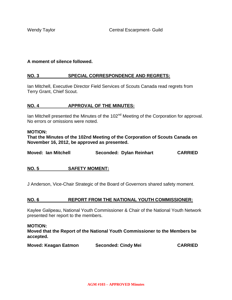## **A moment of silence followed.**

## **NO. 3 SPECIAL CORRESPONDENCE AND REGRETS:**

Ian Mitchell, Executive Director Field Services of Scouts Canada read regrets from Terry Grant, Chief Scout.

## **NO. 4 APPROVAL OF THE MINUTES:**

Ian Mitchell presented the Minutes of the 102<sup>nd</sup> Meeting of the Corporation for approval. No errors or omissions were noted.

#### **MOTION:**

**That the Minutes of the 102nd Meeting of the Corporation of Scouts Canada on November 16, 2012, be approved as presented.**

| <b>Moved: Ian Mitchell</b> |  | Seconded: Dylan Reinhart | <b>CARRIED</b> |
|----------------------------|--|--------------------------|----------------|
|                            |  |                          |                |

## **NO. 5 SAFETY MOMENT:**

J Anderson, Vice-Chair Strategic of the Board of Governors shared safety moment.

## **NO. 6 REPORT FROM THE NATIONAL YOUTH COMMISSIONER:**

Kaylee Galipeau, National Youth Commissioner & Chair of the National Youth Network presented her report to the members.

## **MOTION:**

**Moved that the Report of the National Youth Commissioner to the Members be accepted.** 

| <b>Moved: Keagan Eatmon</b> | <b>Seconded: Cindy Mei</b> | <b>CARRIED</b> |
|-----------------------------|----------------------------|----------------|
|                             |                            |                |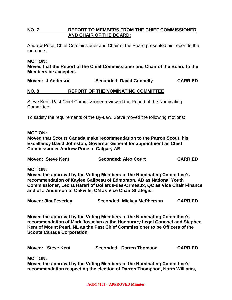# **NO. 7 REPORT TO MEMBERS FROM THE CHIEF COMMISSIONER AND CHAIR OF THE BOARD:**

Andrew Price, Chief Commissioner and Chair of the Board presented his report to the members.

## **MOTION:**

**Moved that the Report of the Chief Commissioner and Chair of the Board to the Members be accepted.** 

**Moved: J Anderson Seconded: David Connelly CARRIED**

## **NO. 8 REPORT OF THE NOMINATING COMMITTEE**

Steve Kent, Past Chief Commissioner reviewed the Report of the Nominating Committee.

To satisfy the requirements of the By-Law, Steve moved the following motions:

## **MOTION:**

**Moved that Scouts Canada make recommendation to the Patron Scout, his Excellency David Johnston, Governor General for appointment as Chief Commissioner Andrew Price of Calgary AB**

| <b>Moved: Steve Kent</b> | <b>Seconded: Alex Court</b> | <b>CARRIED</b> |
|--------------------------|-----------------------------|----------------|
|                          |                             |                |

**MOTION:** 

**Moved the approval by the Voting Members of the Nominating Committee's recommendation of Kaylee Galipeau of Edmonton, AB as National Youth Commissioner, Leona Harari of Dollards-des-Ormeaux, QC as Vice Chair Finance and of J Anderson of Oakville, ON as Vice Chair Strategic.**

**Moved: Jim Peverley Seconded: Mickey McPherson CARRIED**

**Moved the approval by the Voting Members of the Nominating Committee's recommendation of Mark Josselyn as the Honourary Legal Counsel and Stephen Kent of Mount Pearl, NL as the Past Chief Commissioner to be Officers of the Scouts Canada Corporation.** 

**Moved: Steve Kent Seconded: Darren Thomson CARRIED**

**MOTION:**

**Moved the approval by the Voting Members of the Nominating Committee's recommendation respecting the election of Darren Thompson, Norm Williams,**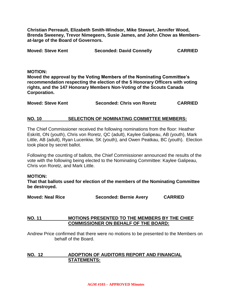**Christian Perreault, Elizabeth Smith-Windsor, Mike Stewart, Jennifer Wood, Brenda Sweeney, Trevor Nimegeers, Susie James, and John Chow as Membersat-large of the Board of Governors.**

| <b>Moved: Steve Kent</b> | <b>Seconded: David Connelly</b> | <b>CARRIED</b> |
|--------------------------|---------------------------------|----------------|
|                          |                                 |                |

#### **MOTION:**

**Moved the approval by the Voting Members of the Nominating Committee's recommendation respecting the election of the 5 Honorary Officers with voting rights, and the 147 Honorary Members Non-Voting of the Scouts Canada Corporation.** 

| <b>Moved: Steve Kent</b> | Seconded: Chris von Roretz | <b>CARRIED</b> |
|--------------------------|----------------------------|----------------|
|                          |                            |                |

## **NO. 10 SELECTION OF NOMINATING COMMITTEE MEMBERS:**

The Chief Commissioner received the following nominations from the floor: Heather Eskritt, ON (youth), Chris von Roretz, QC (adult), Kaylee Galipeau, AB (youth), Mark Little, AB (adult), Ryan Lucenkiw, SK (youth), and Owen Peatkau, BC (youth). Election took place by secret ballot.

Following the counting of ballots, the Chief Commissioner announced the results of the vote with the following being elected to the Nominating Committee: Kaylee Galipeau, Chris von Roretz, and Mark Little.

#### **MOTION:**

**That that ballots used for election of the members of the Nominating Committee be destroyed.**

**Moved: Neal Rice Seconded: Bernie Avery CARRIED**

## **NO. 11 MOTIONS PRESENTED TO THE MEMBERS BY THE CHIEF COMMISSIONER ON BEHALF OF THE BOARD:**

Andrew Price confirmed that there were no motions to be presented to the Members on behalf of the Board.

## **NO. 12 ADOPTION OF AUDITORS REPORT AND FINANCIAL STATEMENTS:**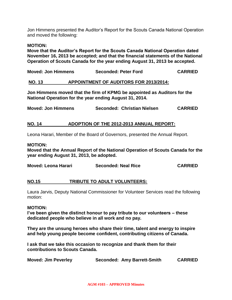Jon Himmens presented the Auditor's Report for the Scouts Canada National Operation and moved the following:

## **MOTION:**

**Move that the Auditor's Report for the Scouts Canada National Operation dated November 16, 2013 be accepted; and that the financial statements of the National Operation of Scouts Canada for the year ending August 31, 2013 be accepted.**

| <b>Moved: Jon Himmens</b> | <b>Seconded: Peter Ford</b> | <b>CARRIED</b> |
|---------------------------|-----------------------------|----------------|
|                           |                             |                |

## **NO. 13 APPOINTMENT OF AUDITORS FOR 2013/2014:**

**Jon Himmens moved that the firm of KPMG be appointed as Auditors for the National Operation for the year ending August 31, 2014.**

| <b>Moved: Jon Himmens</b> |  | Seconded: Christian Nielsen | <b>CARRIED</b> |
|---------------------------|--|-----------------------------|----------------|
|---------------------------|--|-----------------------------|----------------|

## **NO. 14 ADOPTION OF THE 2012-2013 ANNUAL REPORT:**

Leona Harari, Member of the Board of Governors, presented the Annual Report.

#### **MOTION:**

**Moved that the Annual Report of the National Operation of Scouts Canada for the year ending August 31, 2013, be adopted.**

| Moved: Leona Harari | <b>Seconded: Neal Rice</b> | <b>CARRIED</b> |
|---------------------|----------------------------|----------------|
|---------------------|----------------------------|----------------|

## **NO.15 TRIBUTE TO ADULT VOLUNTEERS:**

Laura Jarvis, Deputy National Commissioner for Volunteer Services read the following motion:

## **MOTION:**

**I've been given the distinct honour to pay tribute to our volunteers – these dedicated people who believe in all work and no pay.** 

**They are the unsung heroes who share their time, talent and energy to inspire and help young people become confident, contributing citizens of Canada.** 

**I ask that we take this occasion to recognize and thank them for their contributions to Scouts Canada.** 

| <b>Moved: Jim Peverley</b> | Seconded: Amy Barrett-Smith | <b>CARRIED</b> |
|----------------------------|-----------------------------|----------------|
|----------------------------|-----------------------------|----------------|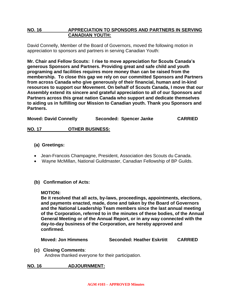# **NO. 16 APPRECIATION TO SPONSORS AND PARTNERS IN SERVING CANADIAN YOUTH:**

David Connelly, Member of the Board of Governors, moved the following motion in appreciation to sponsors and partners in serving Canadian Youth:

**Mr. Chair and Fellow Scouts: I rise to move appreciation for Scouts Canada's generous Sponsors and Partners. Providing great and safe child and youth programing and facilities requires more money than can be raised from the membership. To close this gap we rely on our committed Sponsors and Partners from across Canada who give generously of their financial, human and in-kind resources to support our Movement. On behalf of Scouts Canada, I move that our Assembly extend its sincere and grateful appreciation to all of our Sponsors and Partners across this great nation Canada who support and dedicate themselves to aiding us in fulfilling our Mission to Canadian youth. Thank you Sponsors and Partners.**

**Moved: David Connelly Seconded: Spencer Janke CARRIED**

# **NO. 17 OTHER BUSINESS:**

# **(a) Greetings:**

- Jean-Francois Champagne, President, Association des Scouts du Canada.
- Wayne McMillan, National Guildmaster, Canadian Fellowship of BP Guilds.
- **(b) Confirmation of Acts:**

## **MOTION:**

**Be it resolved that all acts, by-laws, proceedings, appointments, elections, and payments enacted, made, done and taken by the Board of Governors and the National Leadership Team members since the last annual meeting of the Corporation, referred to in the minutes of these bodies, of the Annual General Meeting or of the Annual Report, or in any way connected with the day-to-day business of the Corporation, are hereby approved and confirmed.**

**Moved: Jon Himmens Seconded: Heather Eskrtitt CARRIED**

## **(c) Closing Comments**:

Andrew thanked everyone for their participation.

# **NO. 16 ADJOURNMENT:**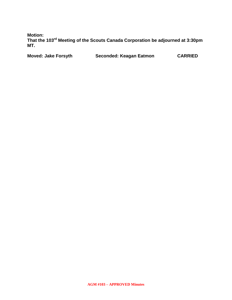**Motion:**

**That the 103rd Meeting of the Scouts Canada Corporation be adjourned at 3:30pm MT.** 

**Moved: Jake Forsyth Seconded: Keagan Eatmon CARRIED**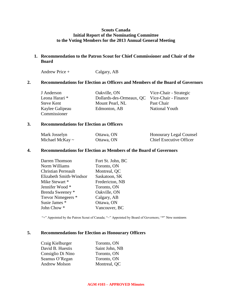## **Scouts Canada Initial Report of the Nominating Committee to the Voting Members for the 2013 Annual General Meeting**

## **1. Recommendation to the Patron Scout for Chief Commissioner and Chair of the Board**

Andrew Price + Calgary, AB

## **2. Recommendations for Election as Officers and Members of the Board of Governors**

| J Anderson      | Oakville, ON                                  | Vice-Chair - Strategic |
|-----------------|-----------------------------------------------|------------------------|
| Leona Harari *  | Dollards-des-Ormeaux, QC Vice-Chair - Finance |                        |
| Steve Kent      | Mount Pearl, NL                               | Past Chair             |
| Kaylee Galipeau | Edmonton, AB                                  | National Youth         |
| Commissioner    |                                               |                        |

#### **3. Recommendations for Election as Officers**

| Mark Josselyn        | Ottawa, ON | <b>Honourary Legal Counsel</b> |
|----------------------|------------|--------------------------------|
| Michael McKay $\sim$ | Ottawa, ON | <b>Chief Executive Officer</b> |

#### **4. Recommendations for Election as Members of the Board of Governors**

| Darren Thomson          | Fort St. John, BC |
|-------------------------|-------------------|
| Norm Williams           | Toronto, ON       |
| Christian Perreault     | Montreal, QC      |
| Elizabeth Smith-Windsor | Saskatoon, SK     |
| Mike Stewart *          | Fredericton, NB   |
| Jennifer Wood *         | Toronto, ON       |
| Brenda Sweeney *        | Oakville, ON      |
| Trevor Nimegeers *      | Calgary, AB       |
| Susie James *           | Ottawa, ON        |
| John Chow *             | Vancouver, BC     |

"+" Appointed by the Patron Scout of Canada; "~" Appointed by Board of Governors; "\*" New nominees

## **5. Recommendations for Election as Honourary Officers**

| Craig Kielburger     | Toronto, ON    |
|----------------------|----------------|
| David B. Huestis     | Saint John, NB |
| Consiglio Di Nino    | Toronto, ON    |
| Seamus O'Regan       | Toronto, ON    |
| <b>Andrew Molson</b> | Montreal, QC   |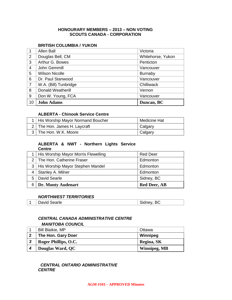#### **HONOURARY MEMBERS – 2013 – NON VOTING SCOUTS CANADA - CORPORATION**

#### **BRITISH COLUMBIA / YUKON**

| 1              | <b>Allen Ball</b>        | Victoria          |
|----------------|--------------------------|-------------------|
| 2              | Douglas Bell, CM         | Whitehorse, Yukon |
| 3              | Arthur G. Bowes          | Penticton         |
| 4              | John Gemmill             | Vancouver         |
| 5              | <b>Wilson Nicolle</b>    | <b>Burnaby</b>    |
| 6              | Dr. Paul Stanwood        | Vancouver         |
| $\overline{7}$ | W.A. (Bill) Tunbridge    | Chilliwack        |
| 8              | <b>Donald Weatherill</b> | Vernon            |
| 9              | Don W. Young, FCA        | Vancouver         |
| 10             | <b>John Adams</b>        | Duncan, BC        |

#### **ALBERTA - Chinook Service Centre**

| His Worship Mayor Normand Boucher | Medicine Hat |
|-----------------------------------|--------------|
| 2   The Hon. James H. Laycraft    | Calgary      |
| 3   The Hon. W.K. Moore           | Calgary      |

#### **ALBERTA & NWT - Northern Lights Service Centre**

|    | His Worship Mayor Morris Flewelling  | <b>Red Deer</b>     |
|----|--------------------------------------|---------------------|
|    | 2   The Hon. Catherine Fraser        | Edmonton            |
|    | 3   His Worship Mayor Stephen Mandel | Edmonton            |
|    | Stanley A. Milner                    | Edmonton            |
| 5. | David Searle                         | Sidney, BC          |
| 6  | Dr. Monty Audenart                   | <b>Red Deer, AB</b> |

## *NORTHWEST TERRITORIES*

| David Searle | $\cdot$<br>$\ddotsc$ |
|--------------|----------------------|

# *CENTRAL CANADA ADMINISTRATIVE CENTRE*

#### *MANITOBA COUNCIL*

|              | <b>Bill Blaikie, MP</b> | Ottawa       |
|--------------|-------------------------|--------------|
|              | The Hon. Gary Doer      | Winnipeg     |
| $\mathbf{r}$ | Roger Phillips, O.C.    | Regina, SK   |
|              | <b>Douglas Ward, QC</b> | Winnipeg, MB |

# *CENTRAL ONTARIO ADMINISTRATIVE CENTRE*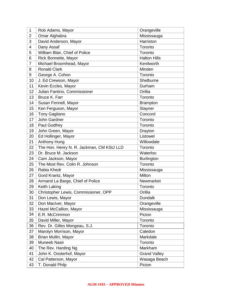| 1              | Rob Adams, Mayor                          | Orangeville         |
|----------------|-------------------------------------------|---------------------|
| $\overline{2}$ | Omar Alghabra                             | Mississauga         |
| 3              | David Anderson, Mayor                     | Harriston           |
| 4              | Dany Assaf                                | Toronto             |
| 5              | William Blair, Chief of Police            | Toronto             |
| 6              | Rick Bonnette, Mayor                      | <b>Halton Hills</b> |
| $\overline{7}$ | Michael Broomhead, Mayor                  | Kenilworth          |
| 8              | <b>Ronald Clark</b>                       | Minden              |
| 9              | George A. Cohon                           | Toronto             |
| 10             | J. Ed Crewson, Mayor                      | Shelburne           |
| 11             | Kevin Eccles, Mayor                       | Durham              |
| 12             | Julian Fantino, Commissioner              | Orillia             |
| 13             | Bruce K. Farr                             | Toronto             |
| 14             | Susan Fennell, Mayor                      | <b>Brampton</b>     |
| 15             | Ken Ferguson, Mayor                       | Stayner             |
| 16             | <b>Tony Gagliano</b>                      | Concord             |
| 17             | John Gardner                              | Toronto             |
| 18             | Paul Godfrey                              | Toronto             |
| 19             | John Green, Mayor                         | Drayton             |
| 20             | Ed Hollinger, Mayor                       | Listowel            |
| 21             | <b>Anthony Hung</b>                       | Willowdale          |
| 22             | The Hon. Henry N. R. Jackman, CM KStJ LLD | Toronto             |
| 23             | Dr. Bruce M. Jackson                      | Waterloo            |
| 24             | Cam Jackson, Mayor                        | <b>Burlington</b>   |
| 25             | The Most Rev. Colin R. Johnson            | Toronto             |
| 26             | Rabia Khedr                               | Mississauga         |
| 27             | Gord Krantz, Mayor                        | Milton              |
| 28             | Armand La Barge, Chief of Police          | Newmarket           |
| 29             | Keith Laking                              | Toronto             |
| 30             | Christopher Lewis, Commissioner, OPP      | Orillia             |
| 31             | Don Lewis, Mayor                          | <b>Dundalk</b>      |
| 32             | Don MacIver, Mayor                        | Orangeville         |
| 33             | Hazel McCallion, Mayor                    | Mississauga         |
| 34             | E.R. McCrimmon                            | Picton              |
| 35             | David Miller, Mayor                       | Toronto             |
| 36             | Rev. Dr. Gilles Mongeau, S.J.             | Toronto             |
| 37             | Marolyn Morrison, Mayor                   | Caledon             |
| 38             | Brian Mullin, Mayor                       | Markdale            |
| 39             | <b>Muneeb Nasir</b>                       | Toronto             |
| 40             | The Rev. Harding Ng                       | Markham             |
| 41             | John K. Oosterhof, Mayor                  | <b>Grand Valley</b> |
| 42             | Cal Patterson, Mayor                      | Wasaga Beach        |
| 43             | T. Donald Philp                           | Picton              |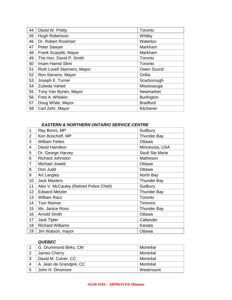| 44 | David W. Pretty             | Toronto           |
|----|-----------------------------|-------------------|
| 45 | Hugh Robertson              | Whitby            |
| 46 | Dr. Robert Rosehart         | Waterloo          |
| 47 | Peter Sawyer                | Markham           |
| 48 | Frank Scarpitti, Mayor      | Markham           |
| 49 | The Hon. David P. Smith     | Toronto           |
| 50 | Imam Hamid Slimi            | Toronto           |
| 51 | Ruth Lovell Stanners, Mayor | Owen Sound        |
| 52 | Ron Stevens, Mayor          | Orillia           |
| 53 | Joseph E. Turner            | Scarborough       |
| 54 | Zubeda Vahed                | Mississauga       |
| 55 | Tony Van Bynen, Mayor       | Newmarket         |
| 56 | Fred A. Whiskin             | <b>Burlington</b> |
| 57 | Doug White, Mayor           | <b>Bradford</b>   |
| 58 | Carl Zehr, Mayor            | Kitchener         |
|    |                             |                   |

#### *EASTERN & NORTHERN ONTARIO SERVICE CENTRE*

| 1               | Ray Bonni, MP                           | Sudbury                |
|-----------------|-----------------------------------------|------------------------|
| $\overline{2}$  | Ken Boschoff, MP                        | <b>Thunder Bay</b>     |
| 3               | <b>William Fettes</b>                   | Ottawa                 |
| $\overline{4}$  | David Hamilton                          | Minnesota, USA         |
| 5               | Dr. George Harvey                       | <b>Sault Ste Marie</b> |
| 6               | <b>Richard Johnston</b>                 | Matheson               |
| $\overline{7}$  | Michael Jowett                          | Ottawa                 |
| 8               | Don Judd                                | Ottawa                 |
| 9               | Art Langley                             | North Bay              |
| 10              | <b>Jack Masters</b>                     | <b>Thunder Bay</b>     |
| 11              | Alex V. McCauley (Retired Police Chief) | Sudbury                |
| 12 <sub>2</sub> | <b>Edward Metzler</b>                   | <b>Thunder Bay</b>     |
| 13              | <b>William Racz</b>                     | Toronto                |
| 14              | <b>Tom Reimer</b>                       | <b>Timmins</b>         |
| 15              | Ms. Janice Ross                         | <b>Thunder Bay</b>     |
| 16              | <b>Arnold Smith</b>                     | Ottawa                 |
| 17              | Jack Tipler                             | Callander              |
| 18              | <b>Richard Williams</b>                 | Kanata                 |
| 19              | Jim Watson, mayor                       | Ottawa                 |

# *QUEBEC*

|    | G. Drummond Birks, CM   | Montréal  |
|----|-------------------------|-----------|
|    | James Cherry            | Montréal  |
| ີ  | David M. Culver, CC     | Montréal  |
|    | A. Jean de Grandpré, CC | Montréal  |
| -5 | John H. Dinsmore        | Westmount |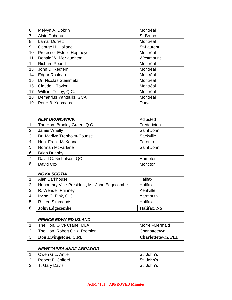| 6               | Melvyn A. Dobrin           | Montréal          |
|-----------------|----------------------------|-------------------|
| $\overline{7}$  | Alain Dubeau               | St-Bruno          |
| 8               | <b>Lamar Durrett</b>       | Montréal          |
| 9               | George H. Holland          | <b>St-Laurent</b> |
| 10 <sup>1</sup> | Professor Estelle Hopmeyer | Montréal          |
| 11              | Donald W. McNaughton       | Westmount         |
| 12              | <b>Richard Pound</b>       | Montréal          |
| 13              | John D. Redfern            | Montréal          |
| 14              | <b>Edgar Rouleau</b>       | Montréal          |
| 15              | Dr. Nicolas Steinmetz      | Montréal          |
| 16              | Claude I. Taylor           | Montréal          |
| 17              | William Tetley, Q.C.       | Montréal          |
| 18              | Demetrius Yantsulis, GCA   | Montréal          |
| 19              | Peter B. Yeomans           | Dorval            |

|                | <b>NEW BRUNSWICK</b>          | Adjusted    |
|----------------|-------------------------------|-------------|
|                | The Hon. Bradley Green, Q.C.  | Fredericton |
| $\overline{2}$ | Jamie Whelly                  | Saint John  |
| 3              | Dr. Marilyn Trenholm-Counsell | Sackville   |
| $\overline{4}$ | Hon. Frank McKenna            | Toronto     |
| 5              | Norman McFarlane              | Saint John  |
| 6              | <b>Brian Dunphy</b>           |             |
| .7             | David C. Nicholson, QC        | Hampton     |
| 8              | David Cox                     | Moncton     |

#### *NOVA SCOTIA*

|   | Alan Barkhouse                               | Halifax             |
|---|----------------------------------------------|---------------------|
| 2 | Honourary Vice-President, Mr. John Edgecombe | Halifax             |
| 3 | R. Wendell Phinney                           | Kentville           |
| 4 | Irving C. Pink, Q.C.                         | Yarmouth            |
| 5 | R. Leo Simmonds                              | Halifax             |
| 6 | <b>John Edgecombe</b>                        | <b>Halifax</b> , NS |

## *PRINCE EDWARD ISLAND*

| The Hon. Olive Crane, MLA     | Morrell-Mermaid           |
|-------------------------------|---------------------------|
| The Hon. Robert Ghiz, Premier | <b>Charlottetown</b>      |
| Don Livingstone, C.M.         | <b>Charlottetown, PEI</b> |

## *NEWFOUNDLAND/LABRADOR*

| Owen G.L. Antle   | St. John's |
|-------------------|------------|
| Robert F. Colford | St. John's |
| T. Gary Davis     | St. John's |